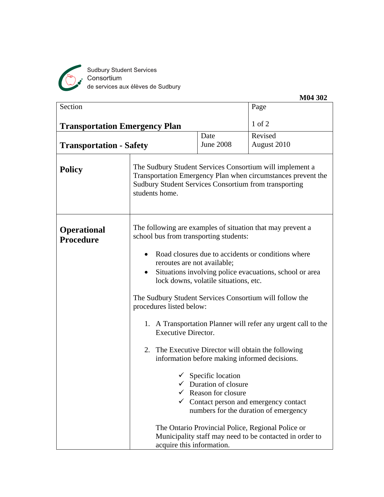

Sudbury Student Services<br>Consortium<br>de services aux élèves de Sudbury

| Section                                                                                                                                        |                                                                                                                                                                                                 |                                                                                                                                                                                   | Page                                                                                                                                                                                                       |  |  |  |
|------------------------------------------------------------------------------------------------------------------------------------------------|-------------------------------------------------------------------------------------------------------------------------------------------------------------------------------------------------|-----------------------------------------------------------------------------------------------------------------------------------------------------------------------------------|------------------------------------------------------------------------------------------------------------------------------------------------------------------------------------------------------------|--|--|--|
| <b>Transportation Emergency Plan</b>                                                                                                           |                                                                                                                                                                                                 |                                                                                                                                                                                   | 1 of 2                                                                                                                                                                                                     |  |  |  |
|                                                                                                                                                |                                                                                                                                                                                                 | Date                                                                                                                                                                              | Revised                                                                                                                                                                                                    |  |  |  |
| <b>Transportation - Safety</b>                                                                                                                 |                                                                                                                                                                                                 | <b>June 2008</b>                                                                                                                                                                  | August 2010                                                                                                                                                                                                |  |  |  |
| <b>Policy</b>                                                                                                                                  | students home.                                                                                                                                                                                  | The Sudbury Student Services Consortium will implement a<br>Transportation Emergency Plan when circumstances prevent the<br>Sudbury Student Services Consortium from transporting |                                                                                                                                                                                                            |  |  |  |
| The following are examples of situation that may prevent a<br><b>Operational</b><br>school bus from transporting students:<br><b>Procedure</b> |                                                                                                                                                                                                 |                                                                                                                                                                                   |                                                                                                                                                                                                            |  |  |  |
|                                                                                                                                                | Road closures due to accidents or conditions where<br>٠<br>reroutes are not available;<br>Situations involving police evacuations, school or area<br>٠<br>lock downs, volatile situations, etc. |                                                                                                                                                                                   |                                                                                                                                                                                                            |  |  |  |
|                                                                                                                                                | The Sudbury Student Services Consortium will follow the<br>procedures listed below:                                                                                                             |                                                                                                                                                                                   |                                                                                                                                                                                                            |  |  |  |
|                                                                                                                                                |                                                                                                                                                                                                 | 1. A Transportation Planner will refer any urgent call to the<br><b>Executive Director.</b>                                                                                       |                                                                                                                                                                                                            |  |  |  |
|                                                                                                                                                |                                                                                                                                                                                                 |                                                                                                                                                                                   | 2. The Executive Director will obtain the following<br>information before making informed decisions.                                                                                                       |  |  |  |
|                                                                                                                                                | acquire this information.                                                                                                                                                                       | $\checkmark$ Specific location<br>Duration of closure<br>Reason for closure                                                                                                       | $\checkmark$ Contact person and emergency contact<br>numbers for the duration of emergency<br>The Ontario Provincial Police, Regional Police or<br>Municipality staff may need to be contacted in order to |  |  |  |